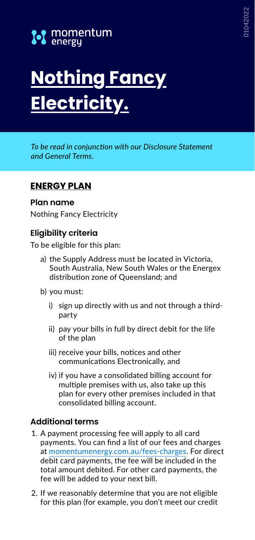

# **Nothing Fancy Electricity.**

*To be read in conjunction with our Disclosure Statement and General Terms.*

## **ENERGY PLAN**

#### **Plan name**

Nothing Fancy Electricity

## **Eligibility criteria**

To be eligible for this plan:

- a) the Supply Address must be located in Victoria, South Australia, New South Wales or the Energex distribution zone of Queensland; and
- b) you must:
	- i) sign up directly with us and not through a thirdparty
	- ii) pay your bills in full by direct debit for the life of the plan
	- iii) receive your bills, notices and other communications Electronically, and
	- iv) if you have a consolidated billing account for multiple premises with us, also take up this plan for every other premises included in that consolidated billing account.

#### **Additional terms**

- 1. A payment processing fee will apply to all card payments. You can find a list of our fees and charges at [momentumenergy.com.au/fees-charges](https://www.momentumenergy.com.au/fees-charges). For direct debit card payments, the fee will be included in the total amount debited. For other card payments, the fee will be added to your next bill.
- 2. If we reasonably determine that you are not eligible for this plan (for example, you don't meet our credit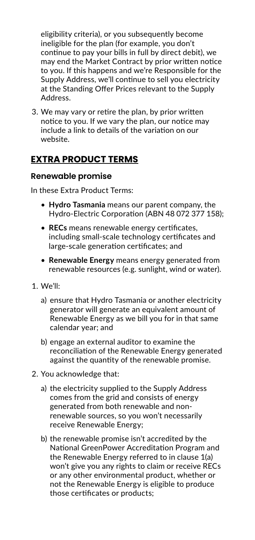eligibility criteria), or you subsequently become ineligible for the plan (for example, you don't continue to pay your bills in full by direct debit), we may end the Market Contract by prior written notice to you. If this happens and we're Responsible for the Supply Address, we'll continue to sell you electricity at the Standing Offer Prices relevant to the Supply Address.

3. We may vary or retire the plan, by prior written notice to you. If we vary the plan, our notice may include a link to details of the variation on our website.

## **EXTRA PRODUCT TERMS**

#### **Renewable promise**

In these Extra Product Terms:

- **Hydro Tasmania** means our parent company, the Hydro-Electric Corporation (ABN 48 072 377 158);
- **RECs** means renewable energy certificates, including small-scale technology certificates and large-scale generation certificates; and
- **Renewable Energy** means energy generated from renewable resources (e.g. sunlight, wind or water).
- 1. We'll:
	- a) ensure that Hydro Tasmania or another electricity generator will generate an equivalent amount of Renewable Energy as we bill you for in that same calendar year; and
	- b) engage an external auditor to examine the reconciliation of the Renewable Energy generated against the quantity of the renewable promise.
- 2. You acknowledge that:
	- a) the electricity supplied to the Supply Address comes from the grid and consists of energy generated from both renewable and nonrenewable sources, so you won't necessarily receive Renewable Energy;
	- b) the renewable promise isn't accredited by the National GreenPower Accreditation Program and the Renewable Energy referred to in clause 1(a) won't give you any rights to claim or receive RECs or any other environmental product, whether or not the Renewable Energy is eligible to produce those certificates or products;